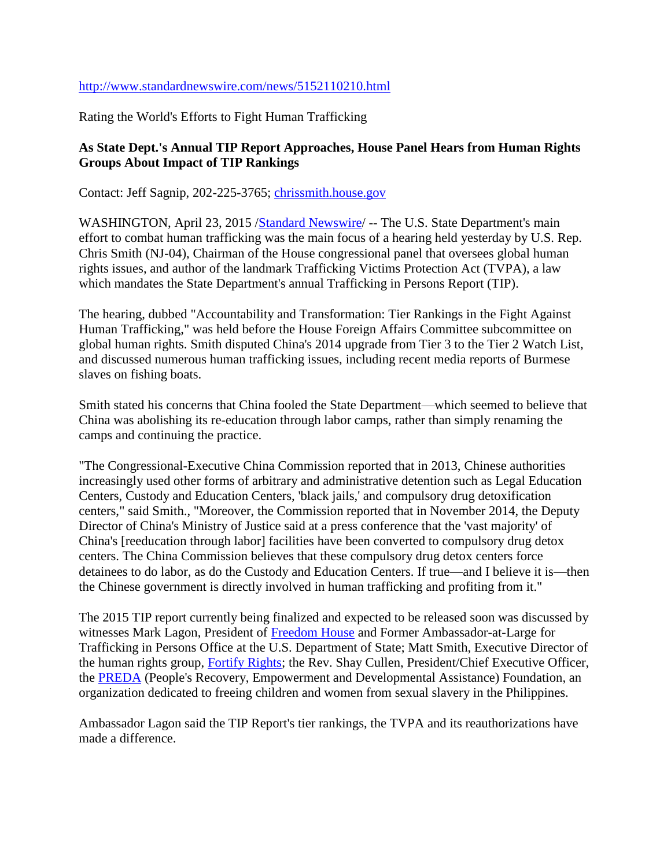## <http://www.standardnewswire.com/news/5152110210.html>

Rating the World's Efforts to Fight Human Trafficking

## **As State Dept.'s Annual TIP Report Approaches, House Panel Hears from Human Rights Groups About Impact of TIP Rankings**

Contact: Jeff Sagnip, 202-225-3765; [chrissmith.house.gov](http://chrissmith.house.gov/)

WASHINGTON, April 23, 2015 [/Standard Newswire/](http://www.standardnewswire.com/) -- The U.S. State Department's main effort to combat human trafficking was the main focus of a hearing held yesterday by U.S. Rep. Chris Smith (NJ-04), Chairman of the House congressional panel that oversees global human rights issues, and author of the landmark Trafficking Victims Protection Act (TVPA), a law which mandates the State Department's annual Trafficking in Persons Report (TIP).

The hearing, dubbed "Accountability and Transformation: Tier Rankings in the Fight Against Human Trafficking," was held before the House Foreign Affairs Committee subcommittee on global human rights. Smith disputed China's 2014 upgrade from Tier 3 to the Tier 2 Watch List, and discussed numerous human trafficking issues, including recent media reports of Burmese slaves on fishing boats.

Smith stated his concerns that China fooled the State Department—which seemed to believe that China was abolishing its re-education through labor camps, rather than simply renaming the camps and continuing the practice.

"The Congressional-Executive China Commission reported that in 2013, Chinese authorities increasingly used other forms of arbitrary and administrative detention such as Legal Education Centers, Custody and Education Centers, 'black jails,' and compulsory drug detoxification centers," said Smith., "Moreover, the Commission reported that in November 2014, the Deputy Director of China's Ministry of Justice said at a press conference that the 'vast majority' of China's [reeducation through labor] facilities have been converted to compulsory drug detox centers. The China Commission believes that these compulsory drug detox centers force detainees to do labor, as do the Custody and Education Centers. If true—and I believe it is—then the Chinese government is directly involved in human trafficking and profiting from it."

The 2015 TIP report currently being finalized and expected to be released soon was discussed by witnesses Mark Lagon, President of [Freedom House](https://freedomhouse.org/) and Former Ambassador-at-Large for Trafficking in Persons Office at the U.S. Department of State; Matt Smith, Executive Director of the human rights group, [Fortify Rights;](http://www.fortifyrights.org/who.html) the Rev. Shay Cullen, President/Chief Executive Officer, the [PREDA](http://www.preda.org/biography-of-fr-shay-cullen/) (People's Recovery, Empowerment and Developmental Assistance) Foundation, an organization dedicated to freeing children and women from sexual slavery in the Philippines.

Ambassador Lagon said the TIP Report's tier rankings, the TVPA and its reauthorizations have made a difference.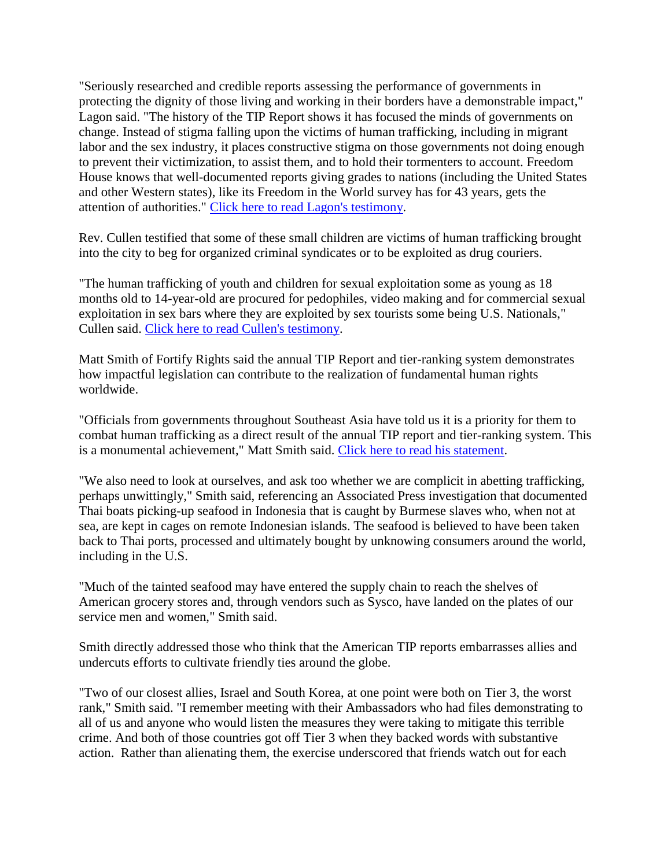"Seriously researched and credible reports assessing the performance of governments in protecting the dignity of those living and working in their borders have a demonstrable impact," Lagon said. "The history of the TIP Report shows it has focused the minds of governments on change. Instead of stigma falling upon the victims of human trafficking, including in migrant labor and the sex industry, it places constructive stigma on those governments not doing enough to prevent their victimization, to assist them, and to hold their tormenters to account. Freedom House knows that well-documented reports giving grades to nations (including the United States and other Western states), like its Freedom in the World survey has for 43 years, gets the attention of authorities." [Click here to read Lagon's testimony.](http://docs.house.gov/meetings/FA/FA16/20150422/103357/HHRG-114-FA16-Wstate-LagonM-20150422.pdf)

Rev. Cullen testified that some of these small children are victims of human trafficking brought into the city to beg for organized criminal syndicates or to be exploited as drug couriers.

"The human trafficking of youth and children for sexual exploitation some as young as 18 months old to 14-year-old are procured for pedophiles, video making and for commercial sexual exploitation in sex bars where they are exploited by sex tourists some being U.S. Nationals," Cullen said. [Click here to read Cullen's testimony.](http://docs.house.gov/meetings/FA/FA16/20150422/103357/HHRG-114-FA16-Wstate-CullenF-20150422.pdf)

Matt Smith of Fortify Rights said the annual TIP Report and tier-ranking system demonstrates how impactful legislation can contribute to the realization of fundamental human rights worldwide.

"Officials from governments throughout Southeast Asia have told us it is a priority for them to combat human trafficking as a direct result of the annual TIP report and tier-ranking system. This is a monumental achievement," Matt Smith said. [Click here to read his statement.](http://docs.house.gov/meetings/FA/FA16/20150422/103357/HHRG-114-FA16-Wstate-SmithM-20150422.pdf)

"We also need to look at ourselves, and ask too whether we are complicit in abetting trafficking, perhaps unwittingly," Smith said, referencing an Associated Press investigation that documented Thai boats picking-up seafood in Indonesia that is caught by Burmese slaves who, when not at sea, are kept in cages on remote Indonesian islands. The seafood is believed to have been taken back to Thai ports, processed and ultimately bought by unknowing consumers around the world, including in the U.S.

"Much of the tainted seafood may have entered the supply chain to reach the shelves of American grocery stores and, through vendors such as Sysco, have landed on the plates of our service men and women," Smith said.

Smith directly addressed those who think that the American TIP reports embarrasses allies and undercuts efforts to cultivate friendly ties around the globe.

"Two of our closest allies, Israel and South Korea, at one point were both on Tier 3, the worst rank," Smith said. "I remember meeting with their Ambassadors who had files demonstrating to all of us and anyone who would listen the measures they were taking to mitigate this terrible crime. And both of those countries got off Tier 3 when they backed words with substantive action. Rather than alienating them, the exercise underscored that friends watch out for each